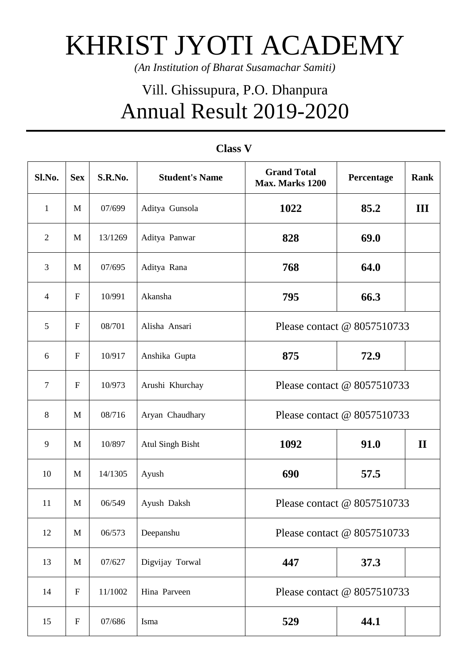## KHRIST JYOTI ACADEMY

*(An Institution of Bharat Susamachar Samiti)*

## Vill. Ghissupura, P.O. Dhanpura Annual Result 2019-2020

| Sl.No.         | <b>Sex</b>                | S.R.No. | <b>Student's Name</b>   | <b>Grand Total</b><br>Max. Marks 1200 | Percentage | <b>Rank</b>  |
|----------------|---------------------------|---------|-------------------------|---------------------------------------|------------|--------------|
| $\mathbf{1}$   | M                         | 07/699  | Aditya Gunsola          | 1022                                  | 85.2       | III          |
| $\overline{2}$ | M                         | 13/1269 | Aditya Panwar           | 828                                   | 69.0       |              |
| 3              | M                         | 07/695  | Aditya Rana             | 768                                   | 64.0       |              |
| $\overline{4}$ | ${\bf F}$                 | 10/991  | Akansha                 | 795                                   | 66.3       |              |
| 5              | $\mathbf{F}$              | 08/701  | Alisha Ansari           | Please contact @ 8057510733           |            |              |
| 6              | $\mathbf F$               | 10/917  | Anshika Gupta           | 875                                   | 72.9       |              |
| $\tau$         | $\mathbf{F}$              | 10/973  | Arushi Khurchay         | Please contact @ 8057510733           |            |              |
| $\,8\,$        | M                         | 08/716  | Aryan Chaudhary         | Please contact @ 8057510733           |            |              |
| 9              | M                         | 10/897  | <b>Atul Singh Bisht</b> | 1092                                  | 91.0       | $\mathbf{I}$ |
| 10             | M                         | 14/1305 | Ayush                   | 690                                   | 57.5       |              |
| 11             | M                         | 06/549  | Ayush Daksh             | Please contact @ 8057510733           |            |              |
| 12             | M                         | 06/573  | Deepanshu               | Please contact @ 8057510733           |            |              |
| 13             | M                         | 07/627  | Digvijay Torwal         | 447                                   | 37.3       |              |
| 14             | ${\bf F}$                 | 11/1002 | Hina Parveen            | Please contact @ 8057510733           |            |              |
| 15             | $\boldsymbol{\mathrm{F}}$ | 07/686  | Isma                    | 529                                   | 44.1       |              |

## **Class V**